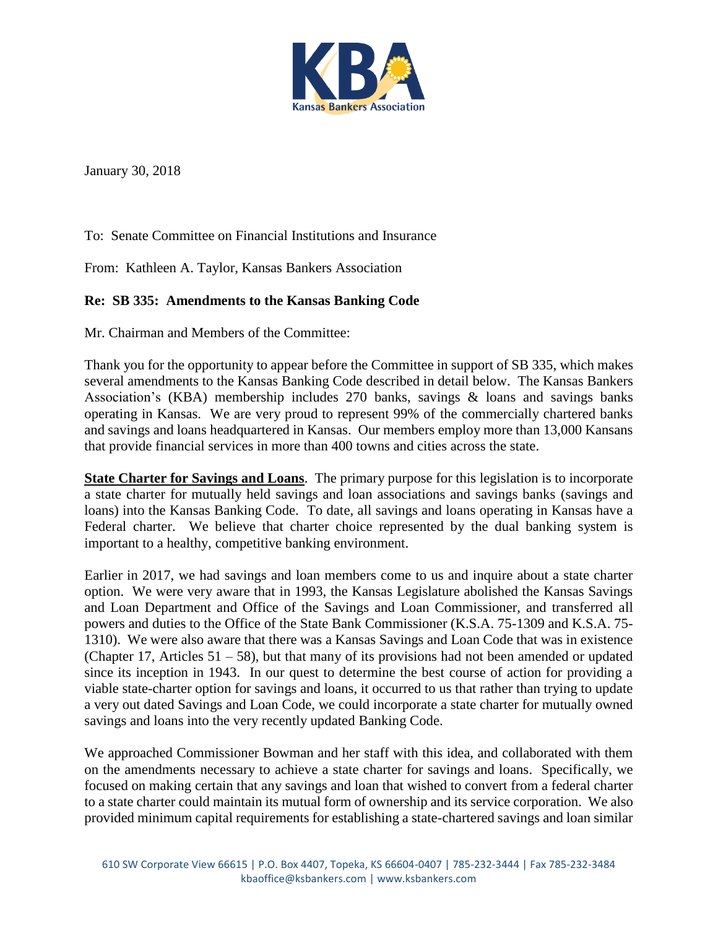

January 30, 2018

To: Senate Committee on Financial Institutions and Insurance

From: Kathleen A. Taylor, Kansas Bankers Association

## **Re: SB 335: Amendments to the Kansas Banking Code**

Mr. Chairman and Members of the Committee:

Thank you for the opportunity to appear before the Committee in support of SB 335, which makes several amendments to the Kansas Banking Code described in detail below. The Kansas Bankers Association's (KBA) membership includes 270 banks, savings & loans and savings banks operating in Kansas. We are very proud to represent 99% of the commercially chartered banks and savings and loans headquartered in Kansas. Our members employ more than 13,000 Kansans that provide financial services in more than 400 towns and cities across the state.

**State Charter for Savings and Loans**. The primary purpose for this legislation is to incorporate a state charter for mutually held savings and loan associations and savings banks (savings and loans) into the Kansas Banking Code. To date, all savings and loans operating in Kansas have a Federal charter. We believe that charter choice represented by the dual banking system is important to a healthy, competitive banking environment.

Earlier in 2017, we had savings and loan members come to us and inquire about a state charter option. We were very aware that in 1993, the Kansas Legislature abolished the Kansas Savings and Loan Department and Office of the Savings and Loan Commissioner, and transferred all powers and duties to the Office of the State Bank Commissioner (K.S.A. 75-1309 and K.S.A. 75- 1310). We were also aware that there was a Kansas Savings and Loan Code that was in existence (Chapter 17, Articles 51 – 58), but that many of its provisions had not been amended or updated since its inception in 1943. In our quest to determine the best course of action for providing a viable state-charter option for savings and loans, it occurred to us that rather than trying to update a very out dated Savings and Loan Code, we could incorporate a state charter for mutually owned savings and loans into the very recently updated Banking Code.

We approached Commissioner Bowman and her staff with this idea, and collaborated with them on the amendments necessary to achieve a state charter for savings and loans. Specifically, we focused on making certain that any savings and loan that wished to convert from a federal charter to a state charter could maintain its mutual form of ownership and its service corporation. We also provided minimum capital requirements for establishing a state-chartered savings and loan similar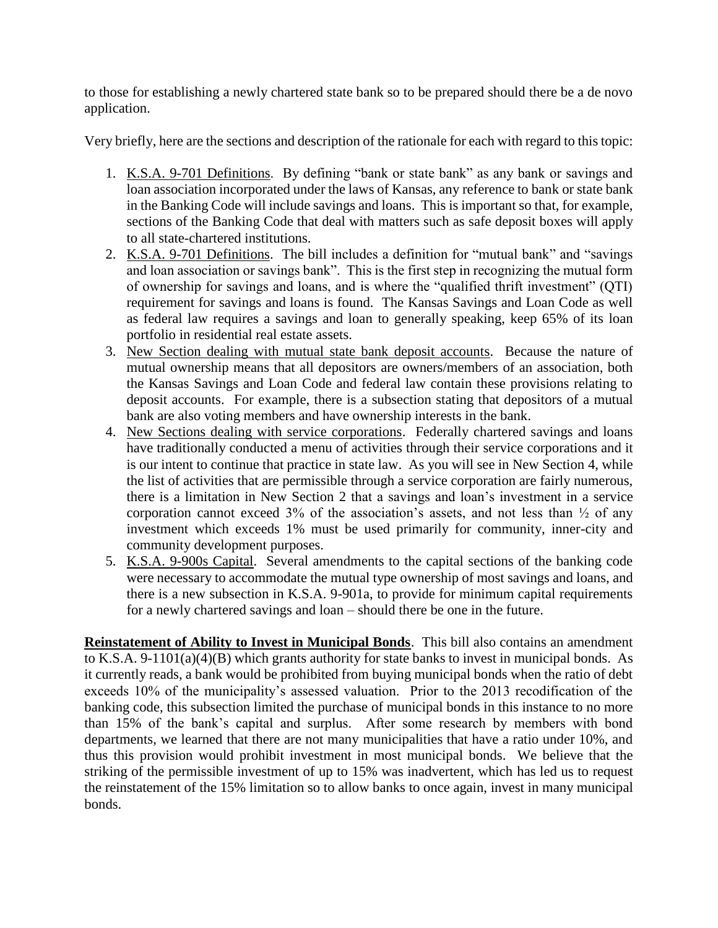to those for establishing a newly chartered state bank so to be prepared should there be a de novo application.

Very briefly, here are the sections and description of the rationale for each with regard to this topic:

- 1. K.S.A. 9-701 Definitions. By defining "bank or state bank" as any bank or savings and loan association incorporated under the laws of Kansas, any reference to bank or state bank in the Banking Code will include savings and loans. This is important so that, for example, sections of the Banking Code that deal with matters such as safe deposit boxes will apply to all state-chartered institutions.
- 2. K.S.A. 9-701 Definitions. The bill includes a definition for "mutual bank" and "savings and loan association or savings bank". This is the first step in recognizing the mutual form of ownership for savings and loans, and is where the "qualified thrift investment" (QTI) requirement for savings and loans is found. The Kansas Savings and Loan Code as well as federal law requires a savings and loan to generally speaking, keep 65% of its loan portfolio in residential real estate assets.
- 3. New Section dealing with mutual state bank deposit accounts. Because the nature of mutual ownership means that all depositors are owners/members of an association, both the Kansas Savings and Loan Code and federal law contain these provisions relating to deposit accounts. For example, there is a subsection stating that depositors of a mutual bank are also voting members and have ownership interests in the bank.
- 4. New Sections dealing with service corporations. Federally chartered savings and loans have traditionally conducted a menu of activities through their service corporations and it is our intent to continue that practice in state law. As you will see in New Section 4, while the list of activities that are permissible through a service corporation are fairly numerous, there is a limitation in New Section 2 that a savings and loan's investment in a service corporation cannot exceed  $3\%$  of the association's assets, and not less than  $\frac{1}{2}$  of any investment which exceeds 1% must be used primarily for community, inner-city and community development purposes.
- 5. K.S.A. 9-900s Capital. Several amendments to the capital sections of the banking code were necessary to accommodate the mutual type ownership of most savings and loans, and there is a new subsection in K.S.A. 9-901a, to provide for minimum capital requirements for a newly chartered savings and loan – should there be one in the future.

**Reinstatement of Ability to Invest in Municipal Bonds**. This bill also contains an amendment to K.S.A. 9-1101(a)(4)(B) which grants authority for state banks to invest in municipal bonds. As it currently reads, a bank would be prohibited from buying municipal bonds when the ratio of debt exceeds 10% of the municipality's assessed valuation. Prior to the 2013 recodification of the banking code, this subsection limited the purchase of municipal bonds in this instance to no more than 15% of the bank's capital and surplus. After some research by members with bond departments, we learned that there are not many municipalities that have a ratio under 10%, and thus this provision would prohibit investment in most municipal bonds. We believe that the striking of the permissible investment of up to 15% was inadvertent, which has led us to request the reinstatement of the 15% limitation so to allow banks to once again, invest in many municipal bonds.